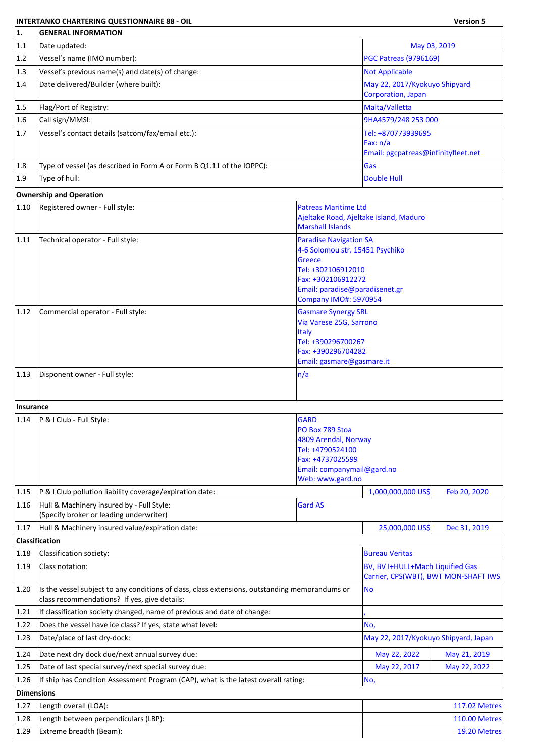## **INTERTANKO CHARTERING QUESTIONNAIRE 88 - OIL Version 5**

٦

| 1.                | <b>GENERAL INFORMATION</b>                                                                                                                                                                   |                                                                                                                                                                                |                                                                          |                      |  |  |
|-------------------|----------------------------------------------------------------------------------------------------------------------------------------------------------------------------------------------|--------------------------------------------------------------------------------------------------------------------------------------------------------------------------------|--------------------------------------------------------------------------|----------------------|--|--|
| 1.1               | Date updated:                                                                                                                                                                                |                                                                                                                                                                                | May 03, 2019                                                             |                      |  |  |
| 1.2               | Vessel's name (IMO number):                                                                                                                                                                  |                                                                                                                                                                                | <b>PGC Patreas (9796169)</b>                                             |                      |  |  |
| 1.3               | Vessel's previous name(s) and date(s) of change:                                                                                                                                             |                                                                                                                                                                                | <b>Not Applicable</b>                                                    |                      |  |  |
| 1.4               | Date delivered/Builder (where built):                                                                                                                                                        |                                                                                                                                                                                | May 22, 2017/Kyokuyo Shipyard<br>Corporation, Japan                      |                      |  |  |
| 1.5               | Flag/Port of Registry:                                                                                                                                                                       |                                                                                                                                                                                | Malta/Valletta                                                           |                      |  |  |
| 1.6               | Call sign/MMSI:                                                                                                                                                                              |                                                                                                                                                                                | 9HA4579/248 253 000                                                      |                      |  |  |
| 1.7               | Vessel's contact details (satcom/fax/email etc.):                                                                                                                                            |                                                                                                                                                                                | Tel: +870773939695                                                       |                      |  |  |
|                   |                                                                                                                                                                                              |                                                                                                                                                                                | Fax: $n/a$<br>Email: pgcpatreas@infinityfleet.net                        |                      |  |  |
| 1.8               | Type of vessel (as described in Form A or Form B Q1.11 of the IOPPC):                                                                                                                        |                                                                                                                                                                                | Gas                                                                      |                      |  |  |
| 1.9               | Type of hull:                                                                                                                                                                                |                                                                                                                                                                                | <b>Double Hull</b>                                                       |                      |  |  |
|                   | <b>Ownership and Operation</b>                                                                                                                                                               |                                                                                                                                                                                |                                                                          |                      |  |  |
| 1.10              |                                                                                                                                                                                              |                                                                                                                                                                                |                                                                          |                      |  |  |
|                   | Registered owner - Full style:                                                                                                                                                               | <b>Patreas Maritime Ltd</b><br><b>Marshall Islands</b>                                                                                                                         | Ajeltake Road, Ajeltake Island, Maduro                                   |                      |  |  |
| 1.11              | Technical operator - Full style:<br><b>Paradise Navigation SA</b><br>4-6 Solomou str. 15451 Psychiko<br>Greece<br>Tel: +302106912010<br>Fax: +302106912272<br>Email: paradise@paradisenet.gr |                                                                                                                                                                                |                                                                          |                      |  |  |
| 1.12              | Commercial operator - Full style:                                                                                                                                                            | <b>Company IMO#: 5970954</b><br><b>Gasmare Synergy SRL</b><br>Via Varese 25G, Sarrono<br><b>Italy</b><br>Tel: +390296700267<br>Fax: +390296704282<br>Email: gasmare@gasmare.it |                                                                          |                      |  |  |
| 1.13              | Disponent owner - Full style:                                                                                                                                                                | n/a                                                                                                                                                                            |                                                                          |                      |  |  |
| Insurance         |                                                                                                                                                                                              |                                                                                                                                                                                |                                                                          |                      |  |  |
| 1.14              | P & I Club - Full Style:                                                                                                                                                                     | <b>GARD</b><br>PO Box 789 Stoa<br>4809 Arendal, Norway<br>Tel: +4790524100<br>Fax: +4737025599<br>Email: companymail@gard.no<br>Web: www.gard.no                               |                                                                          |                      |  |  |
| 1.15              | P & I Club pollution liability coverage/expiration date:                                                                                                                                     |                                                                                                                                                                                | 1,000,000,000 US\$                                                       | Feb 20, 2020         |  |  |
| 1.16              | Hull & Machinery insured by - Full Style:<br>(Specify broker or leading underwriter)                                                                                                         | <b>Gard AS</b>                                                                                                                                                                 |                                                                          |                      |  |  |
| 1.17              | Hull & Machinery insured value/expiration date:                                                                                                                                              |                                                                                                                                                                                | 25,000,000 US\$                                                          | Dec 31, 2019         |  |  |
|                   | <b>Classification</b>                                                                                                                                                                        |                                                                                                                                                                                |                                                                          |                      |  |  |
| 1.18              | Classification society:                                                                                                                                                                      |                                                                                                                                                                                | <b>Bureau Veritas</b>                                                    |                      |  |  |
| 1.19              | Class notation:                                                                                                                                                                              |                                                                                                                                                                                | BV, BV I+HULL+Mach Liquified Gas<br>Carrier, CPS(WBT), BWT MON-SHAFT IWS |                      |  |  |
| 1.20              | Is the vessel subject to any conditions of class, class extensions, outstanding memorandums or<br>class recommendations? If yes, give details:                                               |                                                                                                                                                                                | <b>No</b>                                                                |                      |  |  |
| 1.21              | If classification society changed, name of previous and date of change:                                                                                                                      |                                                                                                                                                                                |                                                                          |                      |  |  |
| 1.22              | Does the vessel have ice class? If yes, state what level:                                                                                                                                    |                                                                                                                                                                                | No,                                                                      |                      |  |  |
| 1.23              | Date/place of last dry-dock:                                                                                                                                                                 |                                                                                                                                                                                | May 22, 2017/Kyokuyo Shipyard, Japan                                     |                      |  |  |
| 1.24              | Date next dry dock due/next annual survey due:                                                                                                                                               |                                                                                                                                                                                | May 22, 2022                                                             | May 21, 2019         |  |  |
| 1.25              | Date of last special survey/next special survey due:                                                                                                                                         |                                                                                                                                                                                | May 22, 2017                                                             | May 22, 2022         |  |  |
| 1.26              | If ship has Condition Assessment Program (CAP), what is the latest overall rating:<br>No,                                                                                                    |                                                                                                                                                                                |                                                                          |                      |  |  |
| <b>Dimensions</b> |                                                                                                                                                                                              |                                                                                                                                                                                |                                                                          |                      |  |  |
| 1.27              | Length overall (LOA):                                                                                                                                                                        |                                                                                                                                                                                |                                                                          | <b>117.02 Metres</b> |  |  |
| 1.28              | Length between perpendiculars (LBP):                                                                                                                                                         |                                                                                                                                                                                |                                                                          | <b>110.00 Metres</b> |  |  |
| 1.29              | Extreme breadth (Beam):                                                                                                                                                                      |                                                                                                                                                                                |                                                                          | 19.20 Metres         |  |  |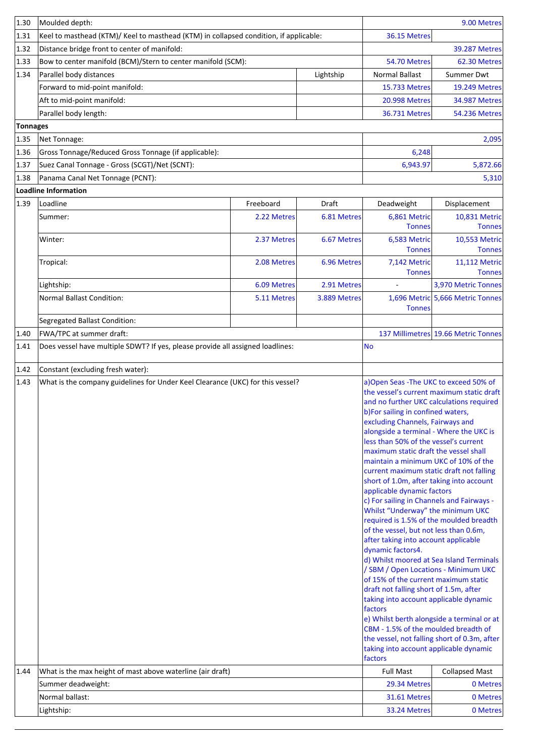| 1.30     | Moulded depth:                                                                        |             |              | 9.00 Metres                                                                                                                                                                                                                                                                                                                                                                                                                                                                                                                                                                                                                                                                                                                                                                                                                                                                                                                                      |                                                                                                                                                                                                              |  |
|----------|---------------------------------------------------------------------------------------|-------------|--------------|--------------------------------------------------------------------------------------------------------------------------------------------------------------------------------------------------------------------------------------------------------------------------------------------------------------------------------------------------------------------------------------------------------------------------------------------------------------------------------------------------------------------------------------------------------------------------------------------------------------------------------------------------------------------------------------------------------------------------------------------------------------------------------------------------------------------------------------------------------------------------------------------------------------------------------------------------|--------------------------------------------------------------------------------------------------------------------------------------------------------------------------------------------------------------|--|
| 1.31     | Keel to masthead (KTM)/ Keel to masthead (KTM) in collapsed condition, if applicable: |             |              | 36.15 Metres                                                                                                                                                                                                                                                                                                                                                                                                                                                                                                                                                                                                                                                                                                                                                                                                                                                                                                                                     |                                                                                                                                                                                                              |  |
| 1.32     | Distance bridge front to center of manifold:                                          |             |              |                                                                                                                                                                                                                                                                                                                                                                                                                                                                                                                                                                                                                                                                                                                                                                                                                                                                                                                                                  | <b>39.287 Metres</b>                                                                                                                                                                                         |  |
| 1.33     | Bow to center manifold (BCM)/Stern to center manifold (SCM):                          |             |              | 54.70 Metres                                                                                                                                                                                                                                                                                                                                                                                                                                                                                                                                                                                                                                                                                                                                                                                                                                                                                                                                     | 62.30 Metres                                                                                                                                                                                                 |  |
| 1.34     | Parallel body distances                                                               |             | Lightship    | <b>Normal Ballast</b>                                                                                                                                                                                                                                                                                                                                                                                                                                                                                                                                                                                                                                                                                                                                                                                                                                                                                                                            | Summer Dwt                                                                                                                                                                                                   |  |
|          | Forward to mid-point manifold:                                                        |             |              | <b>15.733 Metres</b>                                                                                                                                                                                                                                                                                                                                                                                                                                                                                                                                                                                                                                                                                                                                                                                                                                                                                                                             | <b>19.249 Metres</b>                                                                                                                                                                                         |  |
|          | Aft to mid-point manifold:                                                            |             |              | <b>20.998 Metres</b>                                                                                                                                                                                                                                                                                                                                                                                                                                                                                                                                                                                                                                                                                                                                                                                                                                                                                                                             | <b>34.987 Metres</b>                                                                                                                                                                                         |  |
|          | Parallel body length:                                                                 |             |              | 36.731 Metres                                                                                                                                                                                                                                                                                                                                                                                                                                                                                                                                                                                                                                                                                                                                                                                                                                                                                                                                    | <b>54.236 Metres</b>                                                                                                                                                                                         |  |
| Tonnages |                                                                                       |             |              |                                                                                                                                                                                                                                                                                                                                                                                                                                                                                                                                                                                                                                                                                                                                                                                                                                                                                                                                                  |                                                                                                                                                                                                              |  |
| 1.35     | Net Tonnage:                                                                          |             |              |                                                                                                                                                                                                                                                                                                                                                                                                                                                                                                                                                                                                                                                                                                                                                                                                                                                                                                                                                  | 2,095                                                                                                                                                                                                        |  |
| 1.36     | Gross Tonnage/Reduced Gross Tonnage (if applicable):                                  |             |              | 6,248                                                                                                                                                                                                                                                                                                                                                                                                                                                                                                                                                                                                                                                                                                                                                                                                                                                                                                                                            |                                                                                                                                                                                                              |  |
| 1.37     | Suez Canal Tonnage - Gross (SCGT)/Net (SCNT):                                         |             |              | 6,943.97                                                                                                                                                                                                                                                                                                                                                                                                                                                                                                                                                                                                                                                                                                                                                                                                                                                                                                                                         | 5,872.66                                                                                                                                                                                                     |  |
| 1.38     | Panama Canal Net Tonnage (PCNT):                                                      |             |              |                                                                                                                                                                                                                                                                                                                                                                                                                                                                                                                                                                                                                                                                                                                                                                                                                                                                                                                                                  | 5,310                                                                                                                                                                                                        |  |
|          | Loadline Information                                                                  |             |              |                                                                                                                                                                                                                                                                                                                                                                                                                                                                                                                                                                                                                                                                                                                                                                                                                                                                                                                                                  |                                                                                                                                                                                                              |  |
| 1.39     | Loadline                                                                              | Freeboard   | Draft        | Deadweight                                                                                                                                                                                                                                                                                                                                                                                                                                                                                                                                                                                                                                                                                                                                                                                                                                                                                                                                       | Displacement                                                                                                                                                                                                 |  |
|          | Summer:                                                                               | 2.22 Metres | 6.81 Metres  | 6,861 Metric<br><b>Tonnes</b>                                                                                                                                                                                                                                                                                                                                                                                                                                                                                                                                                                                                                                                                                                                                                                                                                                                                                                                    | 10,831 Metric<br><b>Tonnes</b>                                                                                                                                                                               |  |
|          | Winter:                                                                               | 2.37 Metres | 6.67 Metres  | 6,583 Metric<br><b>Tonnes</b>                                                                                                                                                                                                                                                                                                                                                                                                                                                                                                                                                                                                                                                                                                                                                                                                                                                                                                                    | 10,553 Metric<br><b>Tonnes</b>                                                                                                                                                                               |  |
|          | Tropical:                                                                             | 2.08 Metres | 6.96 Metres  | 7,142 Metric<br><b>Tonnes</b>                                                                                                                                                                                                                                                                                                                                                                                                                                                                                                                                                                                                                                                                                                                                                                                                                                                                                                                    | 11,112 Metric<br><b>Tonnes</b>                                                                                                                                                                               |  |
|          | Lightship:                                                                            | 6.09 Metres | 2.91 Metres  |                                                                                                                                                                                                                                                                                                                                                                                                                                                                                                                                                                                                                                                                                                                                                                                                                                                                                                                                                  | 3,970 Metric Tonnes                                                                                                                                                                                          |  |
|          | <b>Normal Ballast Condition:</b>                                                      | 5.11 Metres | 3.889 Metres | <b>Tonnes</b>                                                                                                                                                                                                                                                                                                                                                                                                                                                                                                                                                                                                                                                                                                                                                                                                                                                                                                                                    | 1,696 Metric 5,666 Metric Tonnes                                                                                                                                                                             |  |
|          | Segregated Ballast Condition:                                                         |             |              |                                                                                                                                                                                                                                                                                                                                                                                                                                                                                                                                                                                                                                                                                                                                                                                                                                                                                                                                                  |                                                                                                                                                                                                              |  |
| 1.40     | FWA/TPC at summer draft:                                                              |             |              |                                                                                                                                                                                                                                                                                                                                                                                                                                                                                                                                                                                                                                                                                                                                                                                                                                                                                                                                                  | 137 Millimetres 19.66 Metric Tonnes                                                                                                                                                                          |  |
| 1.41     | Does vessel have multiple SDWT? If yes, please provide all assigned loadlines:        |             |              | <b>No</b>                                                                                                                                                                                                                                                                                                                                                                                                                                                                                                                                                                                                                                                                                                                                                                                                                                                                                                                                        |                                                                                                                                                                                                              |  |
| 1.42     | Constant (excluding fresh water):                                                     |             |              |                                                                                                                                                                                                                                                                                                                                                                                                                                                                                                                                                                                                                                                                                                                                                                                                                                                                                                                                                  |                                                                                                                                                                                                              |  |
| 1.43     |                                                                                       |             |              | a) Open Seas - The UKC to exceed 50% of                                                                                                                                                                                                                                                                                                                                                                                                                                                                                                                                                                                                                                                                                                                                                                                                                                                                                                          |                                                                                                                                                                                                              |  |
| 1.44     | What is the company guidelines for Under Keel Clearance (UKC) for this vessel?        |             |              | and no further UKC calculations required<br>b)For sailing in confined waters,<br>excluding Channels, Fairways and<br>alongside a terminal - Where the UKC is<br>less than 50% of the vessel's current<br>maximum static draft the vessel shall<br>maintain a minimum UKC of 10% of the<br>current maximum static draft not falling<br>short of 1.0m, after taking into account<br>applicable dynamic factors<br>c) For sailing in Channels and Fairways -<br>Whilst "Underway" the minimum UKC<br>required is 1.5% of the moulded breadth<br>of the vessel, but not less than 0.6m,<br>after taking into account applicable<br>dynamic factors4.<br>/ SBM / Open Locations - Minimum UKC<br>of 15% of the current maximum static<br>draft not falling short of 1.5m, after<br>taking into account applicable dynamic<br>factors<br>CBM - 1.5% of the moulded breadth of<br>taking into account applicable dynamic<br>factors<br><b>Full Mast</b> | the vessel's current maximum static draft<br>d) Whilst moored at Sea Island Terminals<br>e) Whilst berth alongside a terminal or at<br>the vessel, not falling short of 0.3m, after<br><b>Collapsed Mast</b> |  |
|          | What is the max height of mast above waterline (air draft)<br>Summer deadweight:      |             |              | 29.34 Metres                                                                                                                                                                                                                                                                                                                                                                                                                                                                                                                                                                                                                                                                                                                                                                                                                                                                                                                                     | 0 Metres                                                                                                                                                                                                     |  |
|          | Normal ballast:                                                                       |             |              | 31.61 Metres                                                                                                                                                                                                                                                                                                                                                                                                                                                                                                                                                                                                                                                                                                                                                                                                                                                                                                                                     | 0 Metres                                                                                                                                                                                                     |  |
|          | Lightship:                                                                            |             |              | 33.24 Metres                                                                                                                                                                                                                                                                                                                                                                                                                                                                                                                                                                                                                                                                                                                                                                                                                                                                                                                                     | 0 Metres                                                                                                                                                                                                     |  |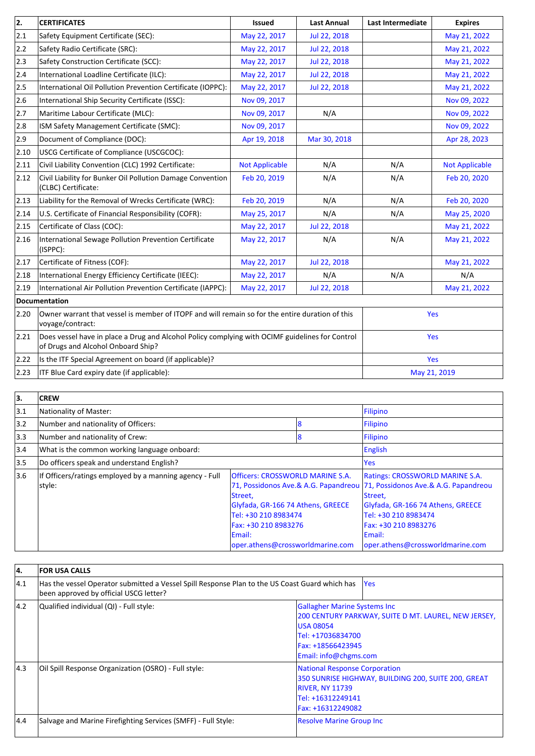| 2.             | <b>CERTIFICATES</b>                                                                                                                   | <b>Issued</b>         | <b>Last Annual</b> | Last Intermediate | <b>Expires</b>        |
|----------------|---------------------------------------------------------------------------------------------------------------------------------------|-----------------------|--------------------|-------------------|-----------------------|
| 2.1            | Safety Equipment Certificate (SEC):                                                                                                   | May 22, 2017          | Jul 22, 2018       |                   | May 21, 2022          |
| 2.2            | Safety Radio Certificate (SRC):                                                                                                       | May 22, 2017          | Jul 22, 2018       |                   | May 21, 2022          |
| 2.3            | Safety Construction Certificate (SCC):                                                                                                | May 22, 2017          | Jul 22, 2018       |                   | May 21, 2022          |
| 2.4            | International Loadline Certificate (ILC):                                                                                             | May 22, 2017          | Jul 22, 2018       |                   | May 21, 2022          |
| 2.5            | International Oil Pollution Prevention Certificate (IOPPC):                                                                           | May 22, 2017          | Jul 22, 2018       |                   | May 21, 2022          |
| 2.6            | International Ship Security Certificate (ISSC):                                                                                       | Nov 09, 2017          |                    |                   | Nov 09, 2022          |
| 2.7            | Maritime Labour Certificate (MLC):                                                                                                    | Nov 09, 2017          | N/A                |                   | Nov 09, 2022          |
| 2.8            | ISM Safety Management Certificate (SMC):                                                                                              | Nov 09, 2017          |                    |                   | Nov 09, 2022          |
| 2.9            | Document of Compliance (DOC):                                                                                                         | Apr 19, 2018          | Mar 30, 2018       |                   | Apr 28, 2023          |
| 2.10           | USCG Certificate of Compliance (USCGCOC):                                                                                             |                       |                    |                   |                       |
| 2.11           | Civil Liability Convention (CLC) 1992 Certificate:                                                                                    | <b>Not Applicable</b> | N/A                | N/A               | <b>Not Applicable</b> |
| 2.12           | Civil Liability for Bunker Oil Pollution Damage Convention<br>(CLBC) Certificate:                                                     | Feb 20, 2019          | N/A                | N/A               | Feb 20, 2020          |
| 2.13           | Liability for the Removal of Wrecks Certificate (WRC):                                                                                | Feb 20, 2019          | N/A                | N/A               | Feb 20, 2020          |
| 2.14           | U.S. Certificate of Financial Responsibility (COFR):                                                                                  | May 25, 2017          | N/A                | N/A               | May 25, 2020          |
| 2.15           | Certificate of Class (COC):                                                                                                           | May 22, 2017          | Jul 22, 2018       |                   | May 21, 2022          |
| 2.16           | International Sewage Pollution Prevention Certificate<br>(ISPPC):                                                                     | May 22, 2017          | N/A                | N/A               | May 21, 2022          |
| 2.17           | Certificate of Fitness (COF):                                                                                                         | May 22, 2017          | Jul 22, 2018       |                   | May 21, 2022          |
| 2.18           | International Energy Efficiency Certificate (IEEC):                                                                                   | May 22, 2017          | N/A                | N/A               | N/A                   |
| 2.19           | International Air Pollution Prevention Certificate (IAPPC):                                                                           | May 22, 2017          | Jul 22, 2018       |                   | May 21, 2022          |
|                | Documentation                                                                                                                         |                       |                    |                   |                       |
| 2.20           | Owner warrant that vessel is member of ITOPF and will remain so for the entire duration of this<br>voyage/contract:                   |                       |                    | Yes               |                       |
| 2.21           | Does vessel have in place a Drug and Alcohol Policy complying with OCIMF guidelines for Control<br>of Drugs and Alcohol Onboard Ship? |                       |                    | Yes               |                       |
| 2.22           | Is the ITF Special Agreement on board (if applicable)?                                                                                |                       |                    | Yes               |                       |
| $ 2.23\rangle$ | ITF Blue Card expiry date (if applicable):                                                                                            |                       |                    | May 21, 2019      |                       |

| 3.            | <b>CREW</b>                                                       |                                                                                                                                                                                                                                                                     |   |                                                                                                                                                                                      |  |
|---------------|-------------------------------------------------------------------|---------------------------------------------------------------------------------------------------------------------------------------------------------------------------------------------------------------------------------------------------------------------|---|--------------------------------------------------------------------------------------------------------------------------------------------------------------------------------------|--|
| 3.1           | Nationality of Master:                                            |                                                                                                                                                                                                                                                                     |   | Filipino                                                                                                                                                                             |  |
| 3.2           | Number and nationality of Officers:                               |                                                                                                                                                                                                                                                                     | 8 | Filipino                                                                                                                                                                             |  |
| $ 3.3\rangle$ | Number and nationality of Crew:                                   |                                                                                                                                                                                                                                                                     | 8 | Filipino                                                                                                                                                                             |  |
| 3.4           | What is the common working language onboard:                      |                                                                                                                                                                                                                                                                     |   | <b>English</b>                                                                                                                                                                       |  |
| 3.5           | Do officers speak and understand English?                         |                                                                                                                                                                                                                                                                     |   | Yes                                                                                                                                                                                  |  |
| 3.6           | If Officers/ratings employed by a manning agency - Full<br>style: | <b>Officers: CROSSWORLD MARINE S.A.</b><br>71, Possidonos Ave.& A.G. Papandreou 71, Possidonos Ave.& A.G. Papandreou<br>Street,<br>Glyfada, GR-166 74 Athens, GREECE<br>Tel: +30 210 8983474<br>Fax: +30 210 8983276<br>Email:<br>loper.athens@crossworldmarine.com |   | <b>Ratings: CROSSWORLD MARINE S.A.</b><br>Street,<br>Glyfada, GR-166 74 Athens, GREECE<br>Tel: +30 210 8983474<br>Fax: +30 210 8983276<br>Email:<br>oper.athens@crossworldmarine.com |  |

| 4.   | <b>FOR USA CALLS</b>                                                                                                                     |                                                                                                                                                                                    |
|------|------------------------------------------------------------------------------------------------------------------------------------------|------------------------------------------------------------------------------------------------------------------------------------------------------------------------------------|
| 14.1 | Has the vessel Operator submitted a Vessel Spill Response Plan to the US Coast Guard which has<br>been approved by official USCG letter? | <b>Yes</b>                                                                                                                                                                         |
| 4.2  | Qualified individual (QI) - Full style:                                                                                                  | <b>Gallagher Marine Systems Inc</b><br>200 CENTURY PARKWAY, SUITE D MT. LAUREL, NEW JERSEY,<br><b>USA 08054</b><br>Tel: +17036834700<br>Fax: +18566423945<br>Email: info@chgms.com |
| 4.3  | Oil Spill Response Organization (OSRO) - Full style:                                                                                     | <b>National Response Corporation</b><br>350 SUNRISE HIGHWAY, BUILDING 200, SUITE 200, GREAT<br><b>RIVER, NY 11739</b><br>Tel: +16312249141<br>Fax: +16312249082                    |
| 4.4  | Salvage and Marine Firefighting Services (SMFF) - Full Style:                                                                            | <b>Resolve Marine Group Inc</b>                                                                                                                                                    |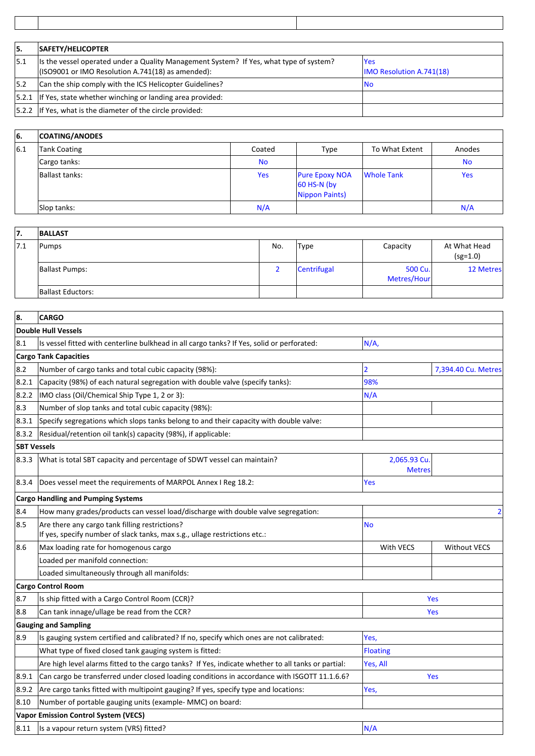| 15.  | SAFETY/HELICOPTER                                                                                                                            |                                         |
|------|----------------------------------------------------------------------------------------------------------------------------------------------|-----------------------------------------|
| 15.1 | [Is the vessel operated under a Quality Management System? If Yes, what type of system?<br>(ISO9001 or IMO Resolution A.741(18) as amended): | lYes<br><b>IMO Resolution A.741(18)</b> |
| 15.2 | Can the ship comply with the ICS Helicopter Guidelines?                                                                                      | INo.                                    |
|      | $ 5.2.1 $ If Yes, state whether winching or landing area provided:                                                                           |                                         |
|      | 5.2.2   If Yes, what is the diameter of the circle provided:                                                                                 |                                         |

| 66. | <b>COATING/ANODES</b> |           |                                                        |                   |           |
|-----|-----------------------|-----------|--------------------------------------------------------|-------------------|-----------|
| 6.1 | <b>Tank Coating</b>   | Coated    | Type                                                   | To What Extent    | Anodes    |
|     | Cargo tanks:          | <b>No</b> |                                                        |                   | <b>No</b> |
|     | Ballast tanks:        | Yes       | <b>Pure Epoxy NOA</b><br>60 HS-N (by<br>Nippon Paints) | <b>Whole Tank</b> | Yes       |
|     | Slop tanks:           | N/A       |                                                        |                   | N/A       |

| 17.  | <b>BALLAST</b>        |     |             |                        |                            |
|------|-----------------------|-----|-------------|------------------------|----------------------------|
| 17.1 | Pumps                 | No. | <b>Type</b> | Capacity               | At What Head<br>$(sg=1.0)$ |
|      | <b>Ballast Pumps:</b> |     | Centrifugal | 500 Cu.<br>Metres/Hour | 12 Metres                  |
|      | Ballast Eductors:     |     |             |                        |                            |

| 8.                 | <b>CARGO</b>                                                                                       |                               |                     |  |
|--------------------|----------------------------------------------------------------------------------------------------|-------------------------------|---------------------|--|
|                    | <b>Double Hull Vessels</b>                                                                         |                               |                     |  |
| 8.1                | Is vessel fitted with centerline bulkhead in all cargo tanks? If Yes, solid or perforated:         | N/A,                          |                     |  |
|                    | <b>Cargo Tank Capacities</b>                                                                       |                               |                     |  |
| 8.2                | Number of cargo tanks and total cubic capacity (98%):                                              | 2                             | 7,394.40 Cu. Metres |  |
| 8.2.1              | Capacity (98%) of each natural segregation with double valve (specify tanks):                      | 98%                           |                     |  |
| 8.2.2              | IMO class (Oil/Chemical Ship Type 1, 2 or 3):                                                      | N/A                           |                     |  |
| 8.3                | Number of slop tanks and total cubic capacity (98%):                                               |                               |                     |  |
| 8.3.1              | Specify segregations which slops tanks belong to and their capacity with double valve:             |                               |                     |  |
| 8.3.2              | Residual/retention oil tank(s) capacity (98%), if applicable:                                      |                               |                     |  |
| <b>SBT Vessels</b> |                                                                                                    |                               |                     |  |
| 8.3.3              | What is total SBT capacity and percentage of SDWT vessel can maintain?                             | 2,065.93 Cu.<br><b>Metres</b> |                     |  |
| 8.3.4              | Does vessel meet the requirements of MARPOL Annex I Reg 18.2:                                      | Yes                           |                     |  |
|                    | <b>Cargo Handling and Pumping Systems</b>                                                          |                               |                     |  |
| 8.4                | How many grades/products can vessel load/discharge with double valve segregation:                  | $\overline{2}$                |                     |  |
| 8.5                | Are there any cargo tank filling restrictions?                                                     | <b>No</b>                     |                     |  |
|                    | If yes, specify number of slack tanks, max s.g., ullage restrictions etc.:                         |                               |                     |  |
| 8.6                | Max loading rate for homogenous cargo                                                              | With VECS                     | <b>Without VECS</b> |  |
|                    | Loaded per manifold connection:                                                                    |                               |                     |  |
|                    | Loaded simultaneously through all manifolds:                                                       |                               |                     |  |
|                    | <b>Cargo Control Room</b>                                                                          |                               |                     |  |
| 8.7                | Is ship fitted with a Cargo Control Room (CCR)?                                                    |                               | Yes                 |  |
| 8.8                | Can tank innage/ullage be read from the CCR?                                                       |                               | Yes                 |  |
|                    | <b>Gauging and Sampling</b>                                                                        |                               |                     |  |
| 8.9                | Is gauging system certified and calibrated? If no, specify which ones are not calibrated:          | Yes,                          |                     |  |
|                    | What type of fixed closed tank gauging system is fitted:                                           | Floating                      |                     |  |
|                    | Are high level alarms fitted to the cargo tanks? If Yes, indicate whether to all tanks or partial: | Yes, All                      |                     |  |
| 8.9.1              | Can cargo be transferred under closed loading conditions in accordance with ISGOTT 11.1.6.6?       |                               | <b>Yes</b>          |  |
| 8.9.2              | Are cargo tanks fitted with multipoint gauging? If yes, specify type and locations:                | Yes,                          |                     |  |
| 8.10               | Number of portable gauging units (example- MMC) on board:                                          |                               |                     |  |
|                    | <b>Vapor Emission Control System (VECS)</b>                                                        |                               |                     |  |
| 8.11               | Is a vapour return system (VRS) fitted?                                                            | N/A                           |                     |  |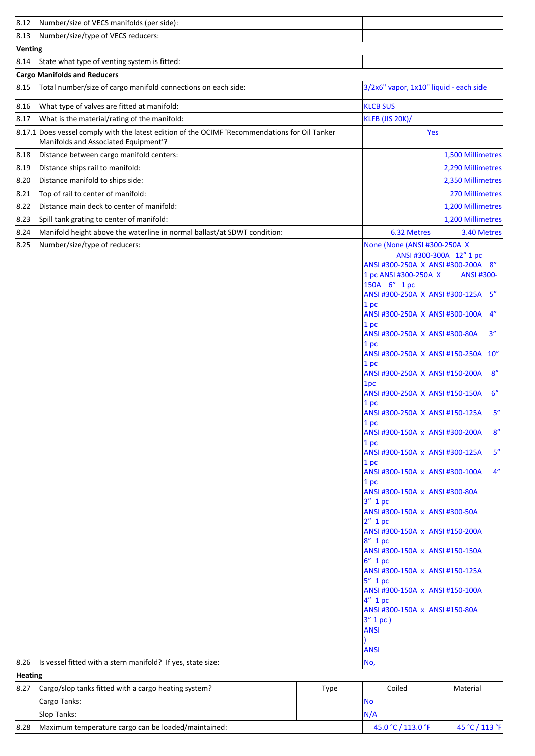| 8.12          | Number/size of VECS manifolds (per side):                                                                                              |      |                                                                                                                                                                                                                                                                                                                                                                                                                                                                                                                                                                                                                                                                                                                                                                                                                                                                                                                                                                        |                                                                                                          |
|---------------|----------------------------------------------------------------------------------------------------------------------------------------|------|------------------------------------------------------------------------------------------------------------------------------------------------------------------------------------------------------------------------------------------------------------------------------------------------------------------------------------------------------------------------------------------------------------------------------------------------------------------------------------------------------------------------------------------------------------------------------------------------------------------------------------------------------------------------------------------------------------------------------------------------------------------------------------------------------------------------------------------------------------------------------------------------------------------------------------------------------------------------|----------------------------------------------------------------------------------------------------------|
| 8.13          | Number/size/type of VECS reducers:                                                                                                     |      |                                                                                                                                                                                                                                                                                                                                                                                                                                                                                                                                                                                                                                                                                                                                                                                                                                                                                                                                                                        |                                                                                                          |
| Venting       |                                                                                                                                        |      |                                                                                                                                                                                                                                                                                                                                                                                                                                                                                                                                                                                                                                                                                                                                                                                                                                                                                                                                                                        |                                                                                                          |
| 8.14          | State what type of venting system is fitted:                                                                                           |      |                                                                                                                                                                                                                                                                                                                                                                                                                                                                                                                                                                                                                                                                                                                                                                                                                                                                                                                                                                        |                                                                                                          |
|               | <b>Cargo Manifolds and Reducers</b>                                                                                                    |      |                                                                                                                                                                                                                                                                                                                                                                                                                                                                                                                                                                                                                                                                                                                                                                                                                                                                                                                                                                        |                                                                                                          |
| 8.15          | Total number/size of cargo manifold connections on each side:                                                                          |      | 3/2x6" vapor, 1x10" liquid - each side                                                                                                                                                                                                                                                                                                                                                                                                                                                                                                                                                                                                                                                                                                                                                                                                                                                                                                                                 |                                                                                                          |
| 8.16          | What type of valves are fitted at manifold:                                                                                            |      | <b>KLCB SUS</b>                                                                                                                                                                                                                                                                                                                                                                                                                                                                                                                                                                                                                                                                                                                                                                                                                                                                                                                                                        |                                                                                                          |
| 8.17          | What is the material/rating of the manifold:                                                                                           |      | <b>KLFB (JIS 20K)/</b>                                                                                                                                                                                                                                                                                                                                                                                                                                                                                                                                                                                                                                                                                                                                                                                                                                                                                                                                                 |                                                                                                          |
|               | 8.17.1 Does vessel comply with the latest edition of the OCIMF 'Recommendations for Oil Tanker<br>Manifolds and Associated Equipment'? |      |                                                                                                                                                                                                                                                                                                                                                                                                                                                                                                                                                                                                                                                                                                                                                                                                                                                                                                                                                                        | Yes                                                                                                      |
| 8.18          | Distance between cargo manifold centers:                                                                                               |      |                                                                                                                                                                                                                                                                                                                                                                                                                                                                                                                                                                                                                                                                                                                                                                                                                                                                                                                                                                        | 1,500 Millimetres                                                                                        |
| 8.19          | Distance ships rail to manifold:                                                                                                       |      |                                                                                                                                                                                                                                                                                                                                                                                                                                                                                                                                                                                                                                                                                                                                                                                                                                                                                                                                                                        | 2,290 Millimetres                                                                                        |
| 8.20          | Distance manifold to ships side:                                                                                                       |      |                                                                                                                                                                                                                                                                                                                                                                                                                                                                                                                                                                                                                                                                                                                                                                                                                                                                                                                                                                        | 2,350 Millimetres                                                                                        |
| 8.21          | Top of rail to center of manifold:                                                                                                     |      |                                                                                                                                                                                                                                                                                                                                                                                                                                                                                                                                                                                                                                                                                                                                                                                                                                                                                                                                                                        | 270 Millimetres                                                                                          |
| 8.22          | Distance main deck to center of manifold:                                                                                              |      |                                                                                                                                                                                                                                                                                                                                                                                                                                                                                                                                                                                                                                                                                                                                                                                                                                                                                                                                                                        | 1,200 Millimetres                                                                                        |
| 8.23          | Spill tank grating to center of manifold:                                                                                              |      |                                                                                                                                                                                                                                                                                                                                                                                                                                                                                                                                                                                                                                                                                                                                                                                                                                                                                                                                                                        | 1,200 Millimetres                                                                                        |
| 8.24          | Manifold height above the waterline in normal ballast/at SDWT condition:                                                               |      | 6.32 Metres                                                                                                                                                                                                                                                                                                                                                                                                                                                                                                                                                                                                                                                                                                                                                                                                                                                                                                                                                            | 3.40 Metres                                                                                              |
| 8.25<br> 8.26 | Number/size/type of reducers:<br>Is vessel fitted with a stern manifold? If yes, state size:                                           |      | None (None (ANSI #300-250A X<br>ANSI #300-250A X ANSI #300-200A 8"<br>1 pc ANSI #300-250A X<br>150A 6" 1 pc<br>ANSI #300-250A X ANSI #300-125A<br>1 pc<br>ANSI #300-250A X ANSI #300-100A<br>1 pc<br>ANSI #300-250A X ANSI #300-80A<br>1 pc<br>ANSI #300-250A X ANSI #150-250A 10"<br>1 pc<br>ANSI #300-250A X ANSI #150-200A<br>1pc<br>ANSI #300-250A X ANSI #150-150A<br>1pc<br>ANSI #300-250A X ANSI #150-125A<br>1 pc<br>ANSI #300-150A x ANSI #300-200A<br>1 <sub>p<sub>c</sub></sub><br>ANSI #300-150A x ANSI #300-125A<br>1pc<br>ANSI #300-150A x ANSI #300-100A<br>1pc<br>ANSI #300-150A x ANSI #300-80A<br>$3''$ 1 pc<br>ANSI #300-150A x ANSI #300-50A<br>$2''$ 1 pc<br>ANSI #300-150A x ANSI #150-200A<br>$8''$ 1 pc<br>ANSI #300-150A x ANSI #150-150A<br>$6''$ 1 pc<br>ANSI #300-150A x ANSI #150-125A<br>$5''$ 1 pc<br>ANSI #300-150A x ANSI #150-100A<br>4" 1 pc<br>ANSI #300-150A x ANSI #150-80A<br>$3'' 1 pc$ )<br><b>ANSI</b><br><b>ANSI</b><br>No, | ANSI #300-300A 12" 1 pc<br><b>ANSI #300-</b><br>5''<br>4"<br>3''<br>8''<br>6''<br>5''<br>8"<br>5''<br>4" |
| Heating       |                                                                                                                                        |      |                                                                                                                                                                                                                                                                                                                                                                                                                                                                                                                                                                                                                                                                                                                                                                                                                                                                                                                                                                        |                                                                                                          |
| 8.27          | Cargo/slop tanks fitted with a cargo heating system?                                                                                   | Type | Coiled                                                                                                                                                                                                                                                                                                                                                                                                                                                                                                                                                                                                                                                                                                                                                                                                                                                                                                                                                                 | Material                                                                                                 |
|               | Cargo Tanks:                                                                                                                           |      | <b>No</b>                                                                                                                                                                                                                                                                                                                                                                                                                                                                                                                                                                                                                                                                                                                                                                                                                                                                                                                                                              |                                                                                                          |
|               | Slop Tanks:                                                                                                                            |      | N/A                                                                                                                                                                                                                                                                                                                                                                                                                                                                                                                                                                                                                                                                                                                                                                                                                                                                                                                                                                    |                                                                                                          |
| 8.28          | Maximum temperature cargo can be loaded/maintained:                                                                                    |      | 45.0 °C / 113.0 °F                                                                                                                                                                                                                                                                                                                                                                                                                                                                                                                                                                                                                                                                                                                                                                                                                                                                                                                                                     | 45 °C / 113 °F                                                                                           |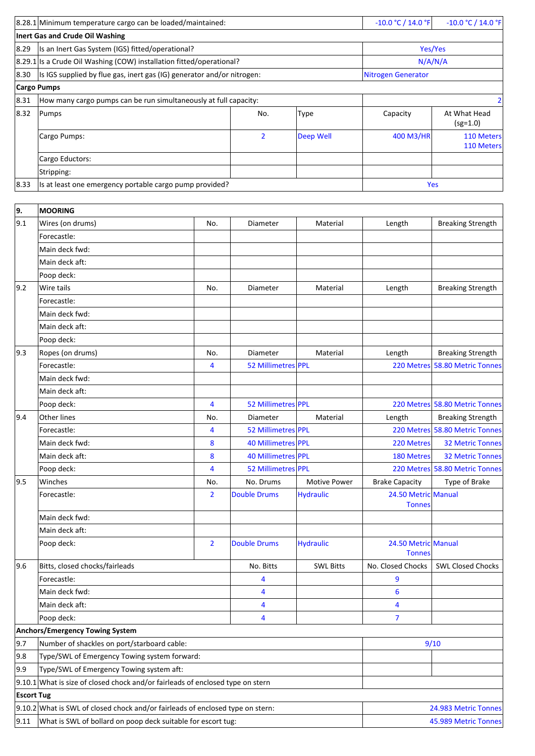| 19.  | <b>MOORING</b>                                                         |                |                  |                           |                            |
|------|------------------------------------------------------------------------|----------------|------------------|---------------------------|----------------------------|
|      |                                                                        |                |                  |                           |                            |
| 8.33 | Is at least one emergency portable cargo pump provided?                |                |                  | <b>Yes</b>                |                            |
|      | Stripping:                                                             |                |                  |                           |                            |
|      | Cargo Eductors:                                                        |                |                  |                           |                            |
|      | Cargo Pumps:                                                           | $\overline{2}$ | <b>Deep Well</b> | 400 M3/HR                 | 110 Meters<br>110 Meters   |
| 8.32 | Pumps                                                                  | No.            | <b>Type</b>      | Capacity                  | At What Head<br>$(sg=1.0)$ |
| 8.31 | How many cargo pumps can be run simultaneously at full capacity:       |                |                  |                           |                            |
|      | <b>Cargo Pumps</b>                                                     |                |                  |                           |                            |
| 8.30 | Is IGS supplied by flue gas, inert gas (IG) generator and/or nitrogen: |                |                  | <b>Nitrogen Generator</b> |                            |
|      | 8.29.1 Is a Crude Oil Washing (COW) installation fitted/operational?   |                |                  | N/A/N/A                   |                            |
| 8.29 | Is an Inert Gas System (IGS) fitted/operational?                       |                |                  | Yes/Yes                   |                            |
|      | Inert Gas and Crude Oil Washing                                        |                |                  |                           |                            |
|      | 8.28.1 Minimum temperature cargo can be loaded/maintained:             |                |                  |                           | $-10.0 °C / 14.0 °F$       |

| <u>.</u>          |                                                                                  |                |                     |                     |                                      |                                |
|-------------------|----------------------------------------------------------------------------------|----------------|---------------------|---------------------|--------------------------------------|--------------------------------|
| 9.1               | Wires (on drums)                                                                 | No.            | Diameter            | Material            | Length                               | <b>Breaking Strength</b>       |
|                   | Forecastle:                                                                      |                |                     |                     |                                      |                                |
|                   | Main deck fwd:                                                                   |                |                     |                     |                                      |                                |
|                   | Main deck aft:                                                                   |                |                     |                     |                                      |                                |
|                   | Poop deck:                                                                       |                |                     |                     |                                      |                                |
| 9.2               | Wire tails                                                                       | No.            | Diameter            | Material            | Length                               | <b>Breaking Strength</b>       |
|                   | Forecastle:                                                                      |                |                     |                     |                                      |                                |
|                   | Main deck fwd:                                                                   |                |                     |                     |                                      |                                |
|                   | Main deck aft:                                                                   |                |                     |                     |                                      |                                |
|                   | Poop deck:                                                                       |                |                     |                     |                                      |                                |
| 9.3               | Ropes (on drums)                                                                 | No.            | Diameter            | Material            | Length                               | <b>Breaking Strength</b>       |
|                   | Forecastle:                                                                      | 4              | 52 Millimetres PPL  |                     |                                      | 220 Metres 58.80 Metric Tonnes |
|                   | Main deck fwd:                                                                   |                |                     |                     |                                      |                                |
|                   | Main deck aft:                                                                   |                |                     |                     |                                      |                                |
|                   | Poop deck:                                                                       | 4              | 52 Millimetres PPL  |                     |                                      | 220 Metres 58.80 Metric Tonnes |
| 9.4               | <b>Other lines</b>                                                               | No.            | Diameter            | Material            | Length                               | <b>Breaking Strength</b>       |
|                   | Forecastle:                                                                      | 4              | 52 Millimetres PPL  |                     |                                      | 220 Metres 58.80 Metric Tonnes |
|                   | Main deck fwd:                                                                   | 8              | 40 Millimetres PPL  |                     | 220 Metres                           | <b>32 Metric Tonnes</b>        |
|                   | Main deck aft:                                                                   | 8              | 40 Millimetres PPL  |                     | <b>180 Metres</b>                    | <b>32 Metric Tonnes</b>        |
|                   | Poop deck:                                                                       | 4              | 52 Millimetres PPL  |                     |                                      | 220 Metres 58.80 Metric Tonnes |
| 9.5               | Winches                                                                          | No.            | No. Drums           | <b>Motive Power</b> | <b>Brake Capacity</b>                | Type of Brake                  |
|                   | Forecastle:                                                                      | $\overline{2}$ | <b>Double Drums</b> | <b>Hydraulic</b>    | 24.50 Metric Manual<br><b>Tonnes</b> |                                |
|                   | Main deck fwd:                                                                   |                |                     |                     |                                      |                                |
|                   | Main deck aft:                                                                   |                |                     |                     |                                      |                                |
|                   | Poop deck:                                                                       | $\overline{2}$ | <b>Double Drums</b> | <b>Hydraulic</b>    | 24.50 Metric Manual<br><b>Tonnes</b> |                                |
| 9.6               | Bitts, closed chocks/fairleads                                                   |                | No. Bitts           | <b>SWL Bitts</b>    | No. Closed Chocks                    | <b>SWL Closed Chocks</b>       |
|                   | Forecastle:                                                                      |                | 4                   |                     | 9                                    |                                |
|                   | Main deck fwd:                                                                   |                | 4                   |                     | 6                                    |                                |
|                   | Main deck aft:                                                                   |                | 4                   |                     | 4                                    |                                |
|                   | Poop deck:                                                                       |                | 4                   |                     |                                      |                                |
|                   | Anchors/Emergency Towing System                                                  |                |                     |                     |                                      |                                |
| 9.7               | Number of shackles on port/starboard cable:                                      |                |                     |                     |                                      | 9/10                           |
| 9.8               | Type/SWL of Emergency Towing system forward:                                     |                |                     |                     |                                      |                                |
| 9.9               | Type/SWL of Emergency Towing system aft:                                         |                |                     |                     |                                      |                                |
|                   | $9.10.1$ What is size of closed chock and/or fairleads of enclosed type on stern |                |                     |                     |                                      |                                |
| <b>Escort Tug</b> |                                                                                  |                |                     |                     |                                      |                                |
|                   | $9.10.2$ What is SWL of closed chock and/or fairleads of enclosed type on stern: |                |                     |                     |                                      | 24.983 Metric Tonnes           |
| 9.11              | What is SWL of bollard on poop deck suitable for escort tug:                     |                |                     |                     |                                      | 45.989 Metric Tonnes           |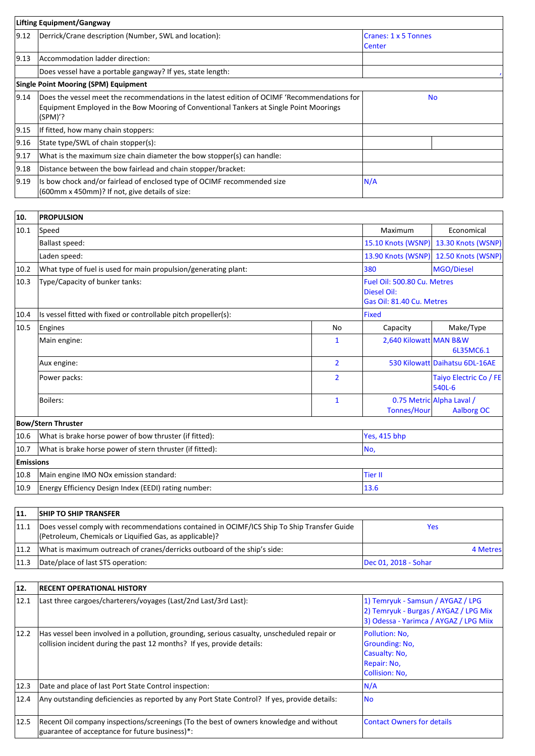| Lifting Equipment/Gangway |                                                                                                                                                                                                   |                                       |  |  |
|---------------------------|---------------------------------------------------------------------------------------------------------------------------------------------------------------------------------------------------|---------------------------------------|--|--|
| $ 9.12\rangle$            | Derrick/Crane description (Number, SWL and location):                                                                                                                                             | Cranes: 1 x 5 Tonnes<br><b>Center</b> |  |  |
| $ 9.13\rangle$            | Accommodation ladder direction:                                                                                                                                                                   |                                       |  |  |
|                           | Does vessel have a portable gangway? If yes, state length:                                                                                                                                        |                                       |  |  |
|                           | <b>Single Point Mooring (SPM) Equipment</b>                                                                                                                                                       |                                       |  |  |
| $ 9.14\rangle$            | Does the vessel meet the recommendations in the latest edition of OCIMF 'Recommendations for<br>Equipment Employed in the Bow Mooring of Conventional Tankers at Single Point Moorings<br>(SPM)'? | <b>No</b>                             |  |  |
| 9.15                      | If fitted, how many chain stoppers:                                                                                                                                                               |                                       |  |  |
| 9.16                      | State type/SWL of chain stopper(s):                                                                                                                                                               |                                       |  |  |
| 9.17                      | What is the maximum size chain diameter the bow stopper(s) can handle:                                                                                                                            |                                       |  |  |
| 9.18                      | Distance between the bow fairlead and chain stopper/bracket:                                                                                                                                      |                                       |  |  |
| 19.19                     | Is bow chock and/or fairlead of enclosed type of OCIMF recommended size<br>(600mm x 450mm)? If not, give details of size:                                                                         | N/A                                   |  |  |

| 10.              | <b>PROPULSION</b>                                               |                |                                                                                |                                                |
|------------------|-----------------------------------------------------------------|----------------|--------------------------------------------------------------------------------|------------------------------------------------|
| 10.1             | Speed                                                           |                | Maximum                                                                        | Economical                                     |
|                  | <b>Ballast speed:</b>                                           |                | 15.10 Knots (WSNP)                                                             | 13.30 Knots (WSNP)                             |
|                  | Laden speed:                                                    |                | 13.90 Knots (WSNP)                                                             | 12.50 Knots (WSNP)                             |
| 10.2             | What type of fuel is used for main propulsion/generating plant: |                |                                                                                | MGO/Diesel                                     |
| 10.3             | Type/Capacity of bunker tanks:                                  |                | Fuel Oil: 500.80 Cu. Metres<br><b>Diesel Oil:</b><br>Gas Oil: 81.40 Cu. Metres |                                                |
| 10.4             | Is vessel fitted with fixed or controllable pitch propeller(s): |                | Fixed                                                                          |                                                |
| 10.5             | Engines                                                         | <b>No</b>      | Capacity                                                                       | Make/Type                                      |
|                  | Main engine:                                                    | 1              | 2,640 Kilowatt MAN B&W                                                         | 6L35MC6.1                                      |
|                  | Aux engine:                                                     | $\overline{2}$ |                                                                                | 530 Kilowatt Daihatsu 6DL-16AE                 |
|                  | Power packs:                                                    | $\overline{2}$ |                                                                                | Taiyo Electric Co / FE<br>540L-6               |
|                  | Boilers:                                                        | 1              | Tonnes/Hour                                                                    | 0.75 Metric Alpha Laval /<br><b>Aalborg OC</b> |
|                  | <b>Bow/Stern Thruster</b>                                       |                |                                                                                |                                                |
| 10.6             | What is brake horse power of bow thruster (if fitted):          |                | Yes, 415 bhp                                                                   |                                                |
| 10.7             | What is brake horse power of stern thruster (if fitted):        |                | No,                                                                            |                                                |
| <b>Emissions</b> |                                                                 |                |                                                                                |                                                |
| 10.8             | Main engine IMO NOx emission standard:                          |                | <b>Tier II</b>                                                                 |                                                |
| 10.9             | Energy Efficiency Design Index (EEDI) rating number:            |                | 13.6                                                                           |                                                |

| 11.  | <b>SHIP TO SHIP TRANSFER</b>                                                                                                                          |                      |
|------|-------------------------------------------------------------------------------------------------------------------------------------------------------|----------------------|
| 11.1 | Does vessel comply with recommendations contained in OCIMF/ICS Ship To Ship Transfer Guide<br>(Petroleum, Chemicals or Liquified Gas, as applicable)? | Yes                  |
|      | $ 11.2 $ What is maximum outreach of cranes/derricks outboard of the ship's side:                                                                     | 4 Metres             |
| 11.3 | Date/place of last STS operation:                                                                                                                     | Dec 01, 2018 - Sohar |

| 12.  | <b>RECENT OPERATIONAL HISTORY</b>                                                                                                                                     |                                                                                                                      |  |
|------|-----------------------------------------------------------------------------------------------------------------------------------------------------------------------|----------------------------------------------------------------------------------------------------------------------|--|
| 12.1 | Last three cargoes/charterers/voyages (Last/2nd Last/3rd Last):                                                                                                       | 1) Temryuk - Samsun / AYGAZ / LPG<br>2) Temryuk - Burgas / AYGAZ / LPG Mix<br>3) Odessa - Yarimca / AYGAZ / LPG Miix |  |
| 12.2 | Has vessel been involved in a pollution, grounding, serious casualty, unscheduled repair or<br>collision incident during the past 12 months? If yes, provide details: | Pollution: No,<br><b>Grounding: No.</b><br>Casualty: No.<br>Repair: No.<br>Collision: No.                            |  |
| 12.3 | Date and place of last Port State Control inspection:                                                                                                                 | N/A                                                                                                                  |  |
| 12.4 | Any outstanding deficiencies as reported by any Port State Control? If yes, provide details:                                                                          | <b>No</b>                                                                                                            |  |
| 12.5 | Recent Oil company inspections/screenings (To the best of owners knowledge and without<br>guarantee of acceptance for future business)*:                              | <b>Contact Owners for details</b>                                                                                    |  |